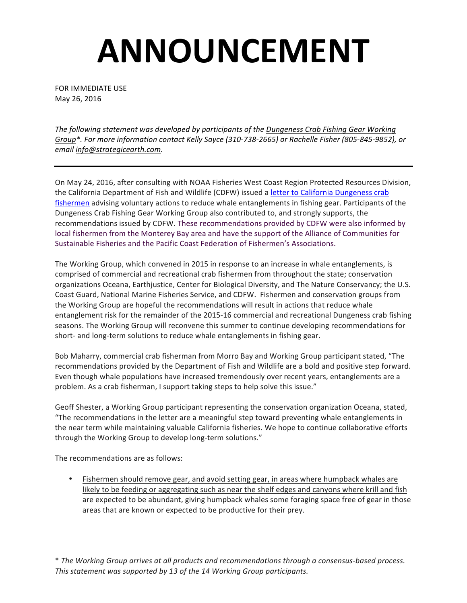## **ANNOUNCEMENT**

FOR IMMEDIATE USE May 26, 2016

The following statement was developed by participants of the Dungeness Crab Fishing Gear Working Group\*. For more information contact Kelly Sayce (310-738-2665) or Rachelle Fisher (805-845-9852), or *email info@strategicearth.com.*

On May 24, 2016, after consulting with NOAA Fisheries West Coast Region Protected Resources Division, the California Department of Fish and Wildlife (CDFW) issued a letter to California Dungeness crab fishermen advising voluntary actions to reduce whale entanglements in fishing gear. Participants of the Dungeness Crab Fishing Gear Working Group also contributed to, and strongly supports, the recommendations issued by CDFW. These recommendations provided by CDFW were also informed by local fishermen from the Monterey Bay area and have the support of the Alliance of Communities for Sustainable Fisheries and the Pacific Coast Federation of Fishermen's Associations.

The Working Group, which convened in 2015 in response to an increase in whale entanglements, is comprised of commercial and recreational crab fishermen from throughout the state; conservation organizations Oceana, Earthjustice, Center for Biological Diversity, and The Nature Conservancy; the U.S. Coast Guard, National Marine Fisheries Service, and CDFW. Fishermen and conservation groups from the Working Group are hopeful the recommendations will result in actions that reduce whale entanglement risk for the remainder of the 2015-16 commercial and recreational Dungeness crab fishing seasons. The Working Group will reconvene this summer to continue developing recommendations for short- and long-term solutions to reduce whale entanglements in fishing gear.

Bob Maharry, commercial crab fisherman from Morro Bay and Working Group participant stated, "The recommendations provided by the Department of Fish and Wildlife are a bold and positive step forward. Even though whale populations have increased tremendously over recent years, entanglements are a problem. As a crab fisherman, I support taking steps to help solve this issue."

Geoff Shester, a Working Group participant representing the conservation organization Oceana, stated, "The recommendations in the letter are a meaningful step toward preventing whale entanglements in the near term while maintaining valuable California fisheries. We hope to continue collaborative efforts through the Working Group to develop long-term solutions."

The recommendations are as follows:

• Fishermen should remove gear, and avoid setting gear, in areas where humpback whales are likely to be feeding or aggregating such as near the shelf edges and canyons where krill and fish are expected to be abundant, giving humpback whales some foraging space free of gear in those areas that are known or expected to be productive for their prey.

\* The Working Group arrives at all products and recommendations through a consensus-based process. This statement was supported by 13 of the 14 Working Group participants.